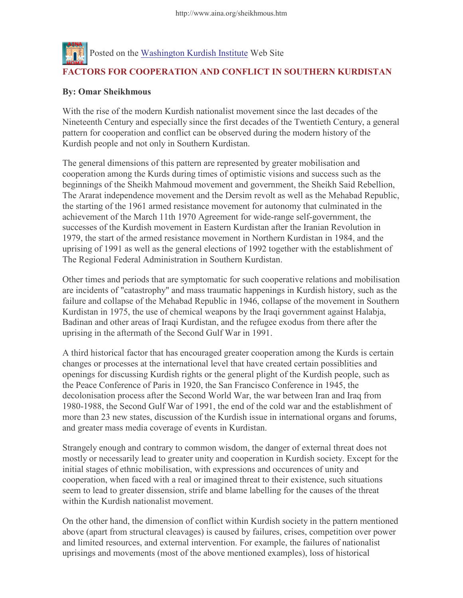

## By: Omar Sheikhmous

With the rise of the modern Kurdish nationalist movement since the last decades of the Nineteenth Century and especially since the first decades of the Twentieth Century, a general pattern for cooperation and conflict can be observed during the modern history of the Kurdish people and not only in Southern Kurdistan.

The general dimensions of this pattern are represented by greater mobilisation and cooperation among the Kurds during times of optimistic visions and success such as the beginnings of the Sheikh Mahmoud movement and government, the Sheikh Said Rebellion, The Ararat independence movement and the Dersim revolt as well as the Mehabad Republic, the starting of the 1961 armed resistance movement for autonomy that culminated in the achievement of the March 11th 1970 Agreement for wide-range self-government, the successes of the Kurdish movement in Eastern Kurdistan after the Iranian Revolution in 1979, the start of the armed resistance movement in Northern Kurdistan in 1984, and the uprising of 1991 as well as the general elections of 1992 together with the establishment of The Regional Federal Administration in Southern Kurdistan.

Other times and periods that are symptomatic for such cooperative relations and mobilisation are incidents of "catastrophy" and mass traumatic happenings in Kurdish history, such as the failure and collapse of the Mehabad Republic in 1946, collapse of the movement in Southern Kurdistan in 1975, the use of chemical weapons by the Iraqi government against Halabja, Badinan and other areas of Iraqi Kurdistan, and the refugee exodus from there after the uprising in the aftermath of the Second Gulf War in 1991.

A third historical factor that has encouraged greater cooperation among the Kurds is certain changes or processes at the international level that have created certain possiblities and openings for discussing Kurdish rights or the general plight of the Kurdish people, such as the Peace Conference of Paris in 1920, the San Francisco Conference in 1945, the decolonisation process after the Second World War, the war between Iran and Iraq from 1980-1988, the Second Gulf War of 1991, the end of the cold war and the establishment of more than 23 new states, discussion of the Kurdish issue in international organs and forums, and greater mass media coverage of events in Kurdistan.

Strangely enough and contrary to common wisdom, the danger of external threat does not mostly or necessarily lead to greater unity and cooperation in Kurdish society. Except for the initial stages of ethnic mobilisation, with expressions and occurences of unity and cooperation, when faced with a real or imagined threat to their existence, such situations seem to lead to greater dissension, strife and blame labelling for the causes of the threat within the Kurdish nationalist movement.

On the other hand, the dimension of conflict within Kurdish society in the pattern mentioned above (apart from structural cleavages) is caused by failures, crises, competition over power and limited resources, and external intervention. For example, the failures of nationalist uprisings and movements (most of the above mentioned examples), loss of historical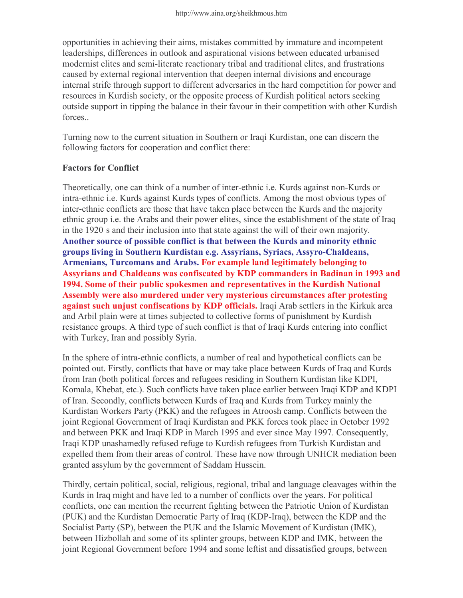opportunities in achieving their aims, mistakes committed by immature and incompetent leaderships, differences in outlook and aspirational visions between educated urbanised modernist elites and semi-literate reactionary tribal and traditional elites, and frustrations caused by external regional intervention that deepen internal divisions and encourage internal strife through support to different adversaries in the hard competition for power and resources in Kurdish society, or the opposite process of Kurdish political actors seeking outside support in tipping the balance in their favour in their competition with other Kurdish forces..

Turning now to the current situation in Southern or Iraqi Kurdistan, one can discern the following factors for cooperation and conflict there:

## Factors for Conflict

Theoretically, one can think of a number of inter-ethnic i.e. Kurds against non-Kurds or intra-ethnic i.e. Kurds against Kurds types of conflicts. Among the most obvious types of inter-ethnic conflicts are those that have taken place between the Kurds and the majority ethnic group i.e. the Arabs and their power elites, since the establishment of the state of Iraq in the 1920ís and their inclusion into that state against the will of their own majority. Another source of possible conflict is that between the Kurds and minority ethnic groups living in Southern Kurdistan e.g. Assyrians, Syriacs, Assyro-Chaldeans, Armenians, Turcomans and Arabs. For example land legitimately belonging to Assyrians and Chaldeans was confiscated by KDP commanders in Badinan in 1993 and 1994. Some of their public spokesmen and representatives in the Kurdish National Assembly were also murdered under very mysterious circumstances after protesting against such unjust confiscations by KDP officials. Iraqi Arab settlers in the Kirkuk area and Arbil plain were at times subjected to collective forms of punishment by Kurdish resistance groups. A third type of such conflict is that of Iraqi Kurds entering into conflict with Turkey, Iran and possibly Syria.

In the sphere of intra-ethnic conflicts, a number of real and hypothetical conflicts can be pointed out. Firstly, conflicts that have or may take place between Kurds of Iraq and Kurds from Iran (both political forces and refugees residing in Southern Kurdistan like KDPI, Komala, Khebat, etc.). Such conflicts have taken place earlier between Iraqi KDP and KDPI of Iran. Secondly, conflicts between Kurds of Iraq and Kurds from Turkey mainly the Kurdistan Workers Party (PKK) and the refugees in Atroosh camp. Conflicts between the joint Regional Government of Iraqi Kurdistan and PKK forces took place in October 1992 and between PKK and Iraqi KDP in March 1995 and ever since May 1997. Consequently, Iraqi KDP unashamedly refused refuge to Kurdish refugees from Turkish Kurdistan and expelled them from their areas of control. These have now through UNHCR mediation been granted assylum by the government of Saddam Hussein.

Thirdly, certain political, social, religious, regional, tribal and language cleavages within the Kurds in Iraq might and have led to a number of conflicts over the years. For political conflicts, one can mention the recurrent fighting between the Patriotic Union of Kurdistan (PUK) and the Kurdistan Democratic Party of Iraq (KDP-Iraq), between the KDP and the Socialist Party (SP), between the PUK and the Islamic Movement of Kurdistan (IMK), between Hizbollah and some of its splinter groups, between KDP and IMK, between the joint Regional Government before 1994 and some leftist and dissatisfied groups, between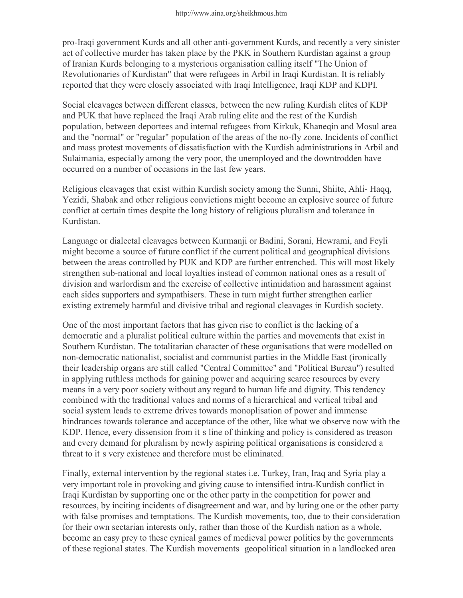pro-Iraqi government Kurds and all other anti-government Kurds, and recently a very sinister act of collective murder has taken place by the PKK in Southern Kurdistan against a group of Iranian Kurds belonging to a mysterious organisation calling itself "The Union of Revolutionaries of Kurdistan" that were refugees in Arbil in Iraqi Kurdistan. It is reliably reported that they were closely associated with Iraqi Intelligence, Iraqi KDP and KDPI.

Social cleavages between different classes, between the new ruling Kurdish elites of KDP and PUK that have replaced the Iraqi Arab ruling elite and the rest of the Kurdish population, between deportees and internal refugees from Kirkuk, Khaneqin and Mosul area and the "normal" or "regular" population of the areas of the no-fly zone. Incidents of conflict and mass protest movements of dissatisfaction with the Kurdish administrations in Arbil and Sulaimania, especially among the very poor, the unemployed and the downtrodden have occurred on a number of occasions in the last few years.

Religious cleavages that exist within Kurdish society among the Sunni, Shiite, Ahli- Haqq, Yezidi, Shabak and other religious convictions might become an explosive source of future conflict at certain times despite the long history of religious pluralism and tolerance in Kurdistan.

Language or dialectal cleavages between Kurmanji or Badini, Sorani, Hewrami, and Feyli might become a source of future conflict if the current political and geographical divisions between the areas controlled by PUK and KDP are further entrenched. This will most likely strengthen sub-national and local loyalties instead of common national ones as a result of division and warlordism and the exercise of collective intimidation and harassment against each sides supporters and sympathisers. These in turn might further strengthen earlier existing extremely harmful and divisive tribal and regional cleavages in Kurdish society.

One of the most important factors that has given rise to conflict is the lacking of a democratic and a pluralist political culture within the parties and movements that exist in Southern Kurdistan. The totalitarian character of these organisations that were modelled on non-democratic nationalist, socialist and communist parties in the Middle East (ironically their leadership organs are still called "Central Committee" and "Political Bureau") resulted in applying ruthless methods for gaining power and acquiring scarce resources by every means in a very poor society without any regard to human life and dignity. This tendency combined with the traditional values and norms of a hierarchical and vertical tribal and social system leads to extreme drives towards monoplisation of power and immense hindrances towards tolerance and acceptance of the other, like what we observe now with the KDP. Hence, every dissension from itís line of thinking and policy is considered as treason and every demand for pluralism by newly aspiring political organisations is considered a threat to itís very existence and therefore must be eliminated.

Finally, external intervention by the regional states i.e. Turkey, Iran, Iraq and Syria play a very important role in provoking and giving cause to intensified intra-Kurdish conflict in Iraqi Kurdistan by supporting one or the other party in the competition for power and resources, by inciting incidents of disagreement and war, and by luring one or the other party with false promises and temptations. The Kurdish movements, too, due to their consideration for their own sectarian interests only, rather than those of the Kurdish nation as a whole, become an easy prey to these cynical games of medieval power politics by the governments of these regional states. The Kurdish movementsí geopolitical situation in a landlocked area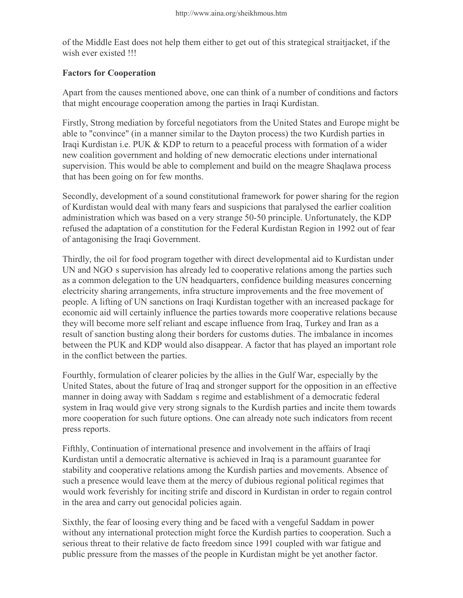of the Middle East does not help them either to get out of this strategical straitjacket, if the wish ever existed !!!

## Factors for Cooperation

Apart from the causes mentioned above, one can think of a number of conditions and factors that might encourage cooperation among the parties in Iraqi Kurdistan.

Firstly, Strong mediation by forceful negotiators from the United States and Europe might be able to "convince" (in a manner similar to the Dayton process) the two Kurdish parties in Iraqi Kurdistan i.e. PUK & KDP to return to a peaceful process with formation of a wider new coalition government and holding of new democratic elections under international supervision. This would be able to complement and build on the meagre Shaqlawa process that has been going on for few months.

Secondly, development of a sound constitutional framework for power sharing for the region of Kurdistan would deal with many fears and suspicions that paralysed the earlier coalition administration which was based on a very strange 50-50 principle. Unfortunately, the KDP refused the adaptation of a constitution for the Federal Kurdistan Region in 1992 out of fear of antagonising the Iraqi Government.

Thirdly, the oil for food program together with direct developmental aid to Kurdistan under UN and NGOís supervision has already led to cooperative relations among the parties such as a common delegation to the UN headquarters, confidence building measures concerning electricity sharing arrangements, infra structure improvements and the free movement of people. A lifting of UN sanctions on Iraqi Kurdistan together with an increased package for economic aid will certainly influence the parties towards more cooperative relations because they will become more self reliant and escape influence from Iraq, Turkey and Iran as a result of sanction busting along their borders for customs duties. The imbalance in incomes between the PUK and KDP would also disappear. A factor that has played an important role in the conflict between the parties.

Fourthly, formulation of clearer policies by the allies in the Gulf War, especially by the United States, about the future of Iraq and stronger support for the opposition in an effective manner in doing away with Saddamís regime and establishment of a democratic federal system in Iraq would give very strong signals to the Kurdish parties and incite them towards more cooperation for such future options. One can already note such indicators from recent press reports.

Fifthly, Continuation of international presence and involvement in the affairs of Iraqi Kurdistan until a democratic alternative is achieved in Iraq is a paramount guarantee for stability and cooperative relations among the Kurdish parties and movements. Absence of such a presence would leave them at the mercy of dubious regional political regimes that would work feverishly for inciting strife and discord in Kurdistan in order to regain control in the area and carry out genocidal policies again.

Sixthly, the fear of loosing every thing and be faced with a vengeful Saddam in power without any international protection might force the Kurdish parties to cooperation. Such a serious threat to their relative de facto freedom since 1991 coupled with war fatigue and public pressure from the masses of the people in Kurdistan might be yet another factor.